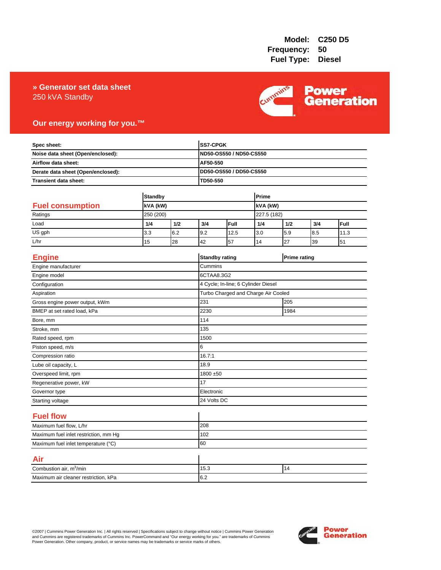### 250 kVA Standby **» Generator set data sheet**



### **Our energy working for you.™**

| Spec sheet:<br>Noise data sheet (Open/enclosed):<br>Airflow data sheet:<br>Derate data sheet (Open/enclosed): |                |     |             | SS7-CPGK<br>ND50-OS550 / ND50-CS550<br>AF50-550<br>DD50-OS550 / DD50-CS550 |       |     |                     |      |  |
|---------------------------------------------------------------------------------------------------------------|----------------|-----|-------------|----------------------------------------------------------------------------|-------|-----|---------------------|------|--|
|                                                                                                               |                |     |             |                                                                            |       |     |                     |      |  |
|                                                                                                               |                |     |             |                                                                            |       |     |                     |      |  |
|                                                                                                               |                |     |             |                                                                            |       |     |                     |      |  |
| Transient data sheet:                                                                                         |                |     | TD50-550    |                                                                            |       |     |                     |      |  |
|                                                                                                               | <b>Standby</b> |     |             |                                                                            | Prime |     |                     |      |  |
| <b>Fuel consumption</b>                                                                                       | kVA (kW)       |     |             | kVA (kW)                                                                   |       |     |                     |      |  |
| Ratings                                                                                                       | 250 (200)      |     |             | 227.5 (182)                                                                |       |     |                     |      |  |
| Load                                                                                                          | 1/4            | 1/2 | 3/4         | Full                                                                       | 1/4   | 1/2 | 3/4                 | Full |  |
| US gph                                                                                                        | 3.3            | 6.2 | 9.2         | 12.5                                                                       | 3.0   | 5.9 | 8.5                 | 11.3 |  |
| L/hr                                                                                                          | 15             | 28  | 42          | 57                                                                         | 14    | 27  | 39                  | 51   |  |
| <b>Engine</b>                                                                                                 |                |     |             | <b>Standby rating</b>                                                      |       |     | <b>Prime rating</b> |      |  |
| Engine manufacturer                                                                                           |                |     | Cummins     |                                                                            |       |     |                     |      |  |
| Engine model                                                                                                  |                |     | 6CTAA8.3G2  |                                                                            |       |     |                     |      |  |
| Configuration                                                                                                 |                |     |             | 4 Cycle; In-line; 6 Cylinder Diesel                                        |       |     |                     |      |  |
| Aspiration                                                                                                    |                |     |             | Turbo Charged and Charge Air Cooled                                        |       |     |                     |      |  |
| Gross engine power output, kWm                                                                                |                |     | 231         | 205                                                                        |       |     |                     |      |  |
| BMEP at set rated load, kPa                                                                                   |                |     | 2230        | 1984                                                                       |       |     |                     |      |  |
| Bore, mm                                                                                                      |                |     | 114         |                                                                            |       |     |                     |      |  |
| Stroke, mm                                                                                                    |                |     | 135         |                                                                            |       |     |                     |      |  |
| Rated speed, rpm                                                                                              |                |     | 1500        |                                                                            |       |     |                     |      |  |
| Piston speed, m/s                                                                                             |                |     | 6           |                                                                            |       |     |                     |      |  |
| Compression ratio                                                                                             |                |     | 16.7:1      |                                                                            |       |     |                     |      |  |
| Lube oil capacity, L                                                                                          |                |     | 18.9        |                                                                            |       |     |                     |      |  |
| Overspeed limit, rpm                                                                                          |                |     |             | 1800 ±50                                                                   |       |     |                     |      |  |
| Regenerative power, kW                                                                                        |                |     | 17          |                                                                            |       |     |                     |      |  |
| Governor type                                                                                                 |                |     |             | Electronic                                                                 |       |     |                     |      |  |
| Starting voltage                                                                                              |                |     | 24 Volts DC |                                                                            |       |     |                     |      |  |
| <b>Fuel flow</b>                                                                                              |                |     |             |                                                                            |       |     |                     |      |  |
| Maximum fuel flow, L/hr                                                                                       |                |     | 208         |                                                                            |       |     |                     |      |  |
| Maximum fuel inlet restriction, mm Hg                                                                         |                |     | 102         |                                                                            |       |     |                     |      |  |
| Maximum fuel inlet temperature (°C)                                                                           |                |     | 60          |                                                                            |       |     |                     |      |  |
| Air                                                                                                           |                |     |             |                                                                            |       |     |                     |      |  |
| Combustion air, m <sup>3</sup> /min                                                                           |                |     | 15.3        | 14                                                                         |       |     |                     |      |  |
| Maximum air cleaner restriction, kPa                                                                          |                |     | 6.2         |                                                                            |       |     |                     |      |  |

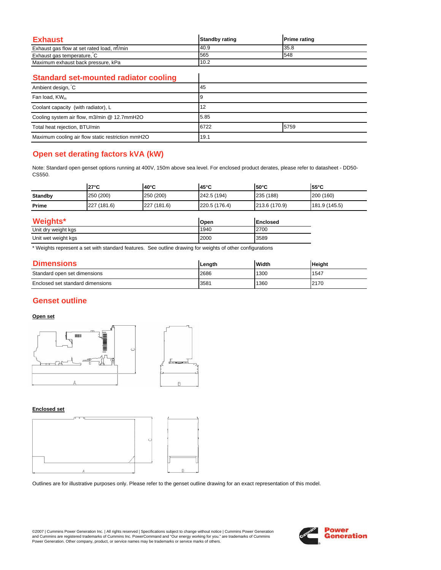| Exhaust                                   | <b>Standby rating</b> | <b>Prime rating</b> |
|-------------------------------------------|-----------------------|---------------------|
| Exhaust gas flow at set rated load, m/min | 40.9                  | 35.8                |
| Exhaust gas temperature, C                | 565                   | 548                 |
| Maximum exhaust back pressure, kPa        | 10.2                  |                     |

 $\overline{\phantom{a}}$ 

### **Standard set-mounted radiator cooling**

| Ambient design, C                                 | 45   |      |  |
|---------------------------------------------------|------|------|--|
| Fan load, KW <sub>m</sub>                         |      |      |  |
| Coolant capacity (with radiator), L               | 12   |      |  |
| Cooling system air flow, m3/min @ 12.7mmH2O       | 5.85 |      |  |
| Total heat rejection, BTU/min                     | 6722 | 5759 |  |
| Maximum cooling air flow static restriction mmH2O | 19.1 |      |  |

# **Open set derating factors kVA (kW)**

Note: Standard open genset options running at 400V, 150m above sea level. For enclosed product derates, please refer to datasheet - DD50- CS550.

|                | $27^{\circ}$ C | $140^{\circ}$ C | 145°C         | $150^{\circ}$ C | $155^{\circ}$ C |
|----------------|----------------|-----------------|---------------|-----------------|-----------------|
| <b>Standby</b> | 250 (200)      | 250 (200)       | 242.5 (194)   | 235 (188)       | 200 (160)       |
| Prime          | 227 (181.6)    | 227 (181.6)     | 220.5 (176.4) | 213.6 (170.9)   | 181.9 (145.5)   |

| Weights*            | Open | <b>IEnclosed</b> |
|---------------------|------|------------------|
| Unit dry weight kgs | 1940 | 2700             |
| Unit wet weight kgs | 2000 | 3589             |

\* Weights represent a set with standard features. See outline drawing for weights of other configurations

| <b>Dimensions</b>                | Lenath | <b>Width</b> | <b>Height</b> |
|----------------------------------|--------|--------------|---------------|
| Standard open set dimensions     | 2686   | 1300         | 1547          |
| Enclosed set standard dimensions | 3581   | 1360         | 2170          |

### **Genset outline**

### **Open set**



#### **Enclosed set**



Outlines are for illustrative purposes only. Please refer to the genset outline drawing for an exact representation of this model.

©2007 | Cummins Power Generation Inc. | All rights reserved | Specifications subject to change without notice | Cummins Power Generation and Cummins are registered trademarks of Cummins Inc. PowerCommand and "Our energy working for you." are trademarks of Cummins<br>Power Generation. Other company, product, or service names may be trademarks or service marks o